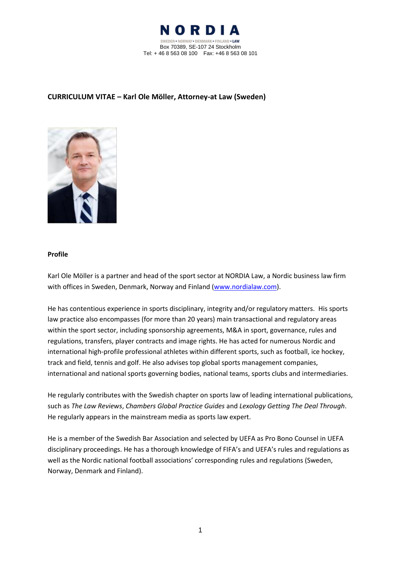

# **CURRICULUM VITAE – Karl Ole Möller, Attorney-at Law (Sweden)**



#### **Profile**

Karl Ole Möller is a partner and head of the sport sector at NORDIA Law, a Nordic business law firm with offices in Sweden, Denmark, Norway and Finland [\(www.nordialaw.com\)](http://www.nordialaw.com/).

He has contentious experience in sports disciplinary, integrity and/or regulatory matters. His sports law practice also encompasses (for more than 20 years) main transactional and regulatory areas within the sport sector, including sponsorship agreements, M&A in sport, governance, rules and regulations, transfers, player contracts and image rights. He has acted for numerous Nordic and international high-profile professional athletes within different sports, such as football, ice hockey, track and field, tennis and golf. He also advises top global sports management companies, international and national sports governing bodies, national teams, sports clubs and intermediaries.

He regularly contributes with the Swedish chapter on sports law of leading international publications, such as *The Law Reviews*, *Chambers Global Practice Guides* and *Lexology Getting The Deal Through*. He regularly appears in the mainstream media as sports law expert.

He is a member of the Swedish Bar Association and selected by UEFA as Pro Bono Counsel in UEFA disciplinary proceedings. He has a thorough knowledge of FIFA's and UEFA's rules and regulations as well as the Nordic national football associations' corresponding rules and regulations (Sweden, Norway, Denmark and Finland).